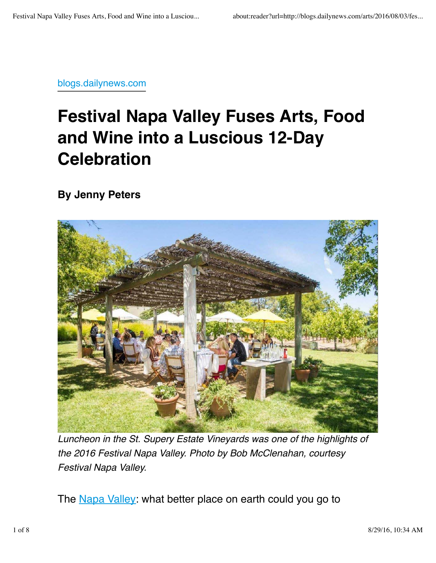blogs.dailynews.com

## **Festival Napa Valley Fuses Arts, Food and Wine into a Luscious 12-Day Celebration**

**By Jenny Peters**



*Luncheon in the St. Supery Estate Vineyards was one of the highlights of the 2016 Festival Napa Valley. Photo by Bob McClenahan, courtesy Festival Napa Valley.*

The Napa Valley: what better place on earth could you go to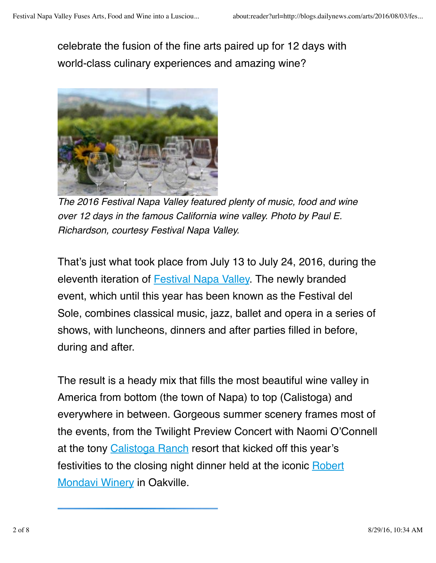celebrate the fusion of the fine arts paired up for 12 days with world-class culinary experiences and amazing wine?



*The 2016 Festival Napa Valley featured plenty of music, food and wine over 12 days in the famous California wine valley. Photo by Paul E. Richardson, courtesy Festival Napa Valley.*

That's just what took place from July 13 to July 24, 2016, during the eleventh iteration of Festival Napa Valley. The newly branded event, which until this year has been known as the Festival del Sole, combines classical music, jazz, ballet and opera in a series of shows, with luncheons, dinners and after parties filled in before, during and after.

The result is a heady mix that fills the most beautiful wine valley in America from bottom (the town of Napa) to top (Calistoga) and everywhere in between. Gorgeous summer scenery frames most of the events, from the Twilight Preview Concert with Naomi O'Connell at the tony Calistoga Ranch resort that kicked off this year's festivities to the closing night dinner held at the iconic Robert Mondavi Winery in Oakville.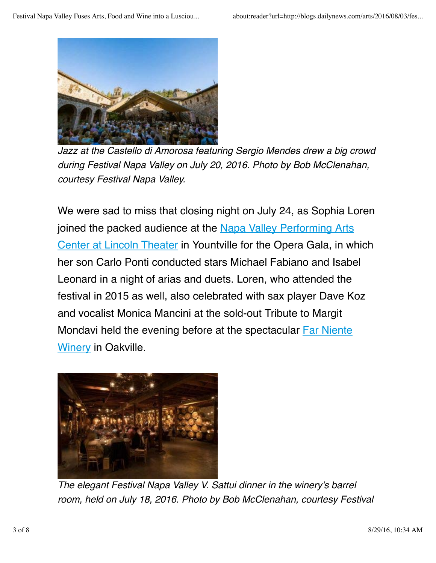

*Jazz at the Castello di Amorosa featuring Sergio Mendes drew a big crowd during Festival Napa Valley on July 20, 2016. Photo by Bob McClenahan, courtesy Festival Napa Valley.*

We were sad to miss that closing night on July 24, as Sophia Loren joined the packed audience at the Napa Valley Performing Arts Center at Lincoln Theater in Yountville for the Opera Gala, in which her son Carlo Ponti conducted stars Michael Fabiano and Isabel Leonard in a night of arias and duets. Loren, who attended the festival in 2015 as well, also celebrated with sax player Dave Koz and vocalist Monica Mancini at the sold-out Tribute to Margit Mondavi held the evening before at the spectacular Far Niente Winery in Oakville.



*The elegant Festival Napa Valley V. Sattui dinner in the winery's barrel room, held on July 18, 2016. Photo by Bob McClenahan, courtesy Festival*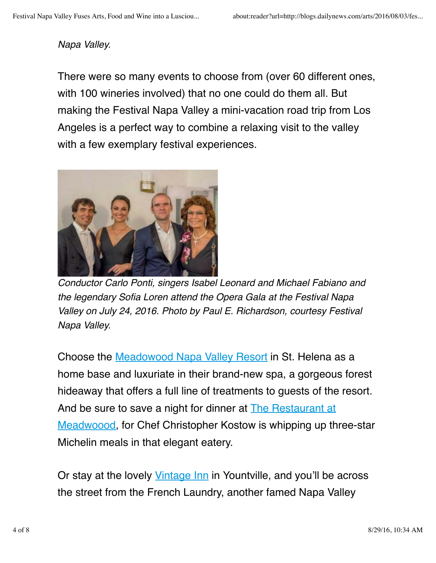## *Napa Valley.*

There were so many events to choose from (over 60 different ones, with 100 wineries involved) that no one could do them all. But making the Festival Napa Valley a mini-vacation road trip from Los Angeles is a perfect way to combine a relaxing visit to the valley with a few exemplary festival experiences.



*Conductor Carlo Ponti, singers Isabel Leonard and Michael Fabiano and the legendary Sofia Loren attend the Opera Gala at the Festival Napa Valley on July 24, 2016. Photo by Paul E. Richardson, courtesy Festival Napa Valley.*

Choose the Meadowood Napa Valley Resort in St. Helena as a home base and luxuriate in their brand-new spa, a gorgeous forest hideaway that offers a full line of treatments to guests of the resort. And be sure to save a night for dinner at **The Restaurant at** Meadwoood, for Chef Christopher Kostow is whipping up three-star Michelin meals in that elegant eatery.

Or stay at the lovely Vintage Inn in Yountville, and you'll be across the street from the French Laundry, another famed Napa Valley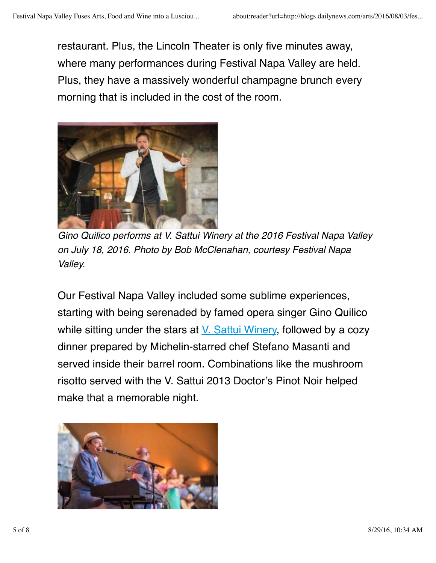restaurant. Plus, the Lincoln Theater is only five minutes away, where many performances during Festival Napa Valley are held. Plus, they have a massively wonderful champagne brunch every morning that is included in the cost of the room.



*Gino Quilico performs at V. Sattui Winery at the 2016 Festival Napa Valley on July 18, 2016. Photo by Bob McClenahan, courtesy Festival Napa Valley.*

Our Festival Napa Valley included some sublime experiences, starting with being serenaded by famed opera singer Gino Quilico while sitting under the stars at V. Sattui Winery, followed by a cozy dinner prepared by Michelin-starred chef Stefano Masanti and served inside their barrel room. Combinations like the mushroom risotto served with the V. Sattui 2013 Doctor's Pinot Noir helped make that a memorable night.

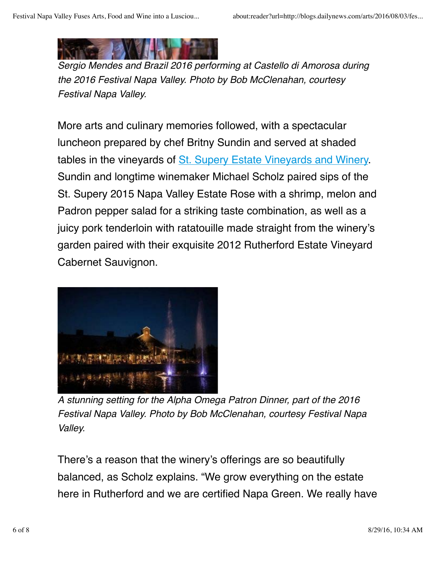*Sergio Mendes and Brazil 2016 performing at Castello di Amorosa during the 2016 Festival Napa Valley. Photo by Bob McClenahan, courtesy Festival Napa Valley.*

More arts and culinary memories followed, with a spectacular luncheon prepared by chef Britny Sundin and served at shaded tables in the vineyards of St. Supery Estate Vineyards and Winery. Sundin and longtime winemaker Michael Scholz paired sips of the St. Supery 2015 Napa Valley Estate Rose with a shrimp, melon and Padron pepper salad for a striking taste combination, as well as a juicy pork tenderloin with ratatouille made straight from the winery's garden paired with their exquisite 2012 Rutherford Estate Vineyard Cabernet Sauvignon.



*A stunning setting for the Alpha Omega Patron Dinner, part of the 2016 Festival Napa Valley. Photo by Bob McClenahan, courtesy Festival Napa Valley.*

There's a reason that the winery's offerings are so beautifully balanced, as Scholz explains. "We grow everything on the estate here in Rutherford and we are certified Napa Green. We really have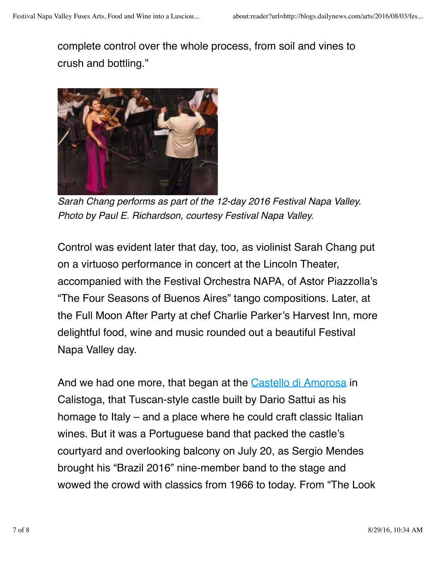complete control over the whole process, from soil and vines to crush and bottling."



*Sarah Chang performs as part of the 12-day 2016 Festival Napa Valley. Photo by Paul E. Richardson, courtesy Festival Napa Valley.*

Control was evident later that day, too, as violinist Sarah Chang put on a virtuoso performance in concert at the Lincoln Theater, accompanied with the Festival Orchestra NAPA, of Astor Piazzolla's "The Four Seasons of Buenos Aires" tango compositions. Later, at the Full Moon After Party at chef Charlie Parker's Harvest Inn, more delightful food, wine and music rounded out a beautiful Festival Napa Valley day.

And we had one more, that began at the Castello di Amorosa in Calistoga, that Tuscan-style castle built by Dario Sattui as his homage to Italy – and a place where he could craft classic Italian wines. But it was a Portuguese band that packed the castle's courtyard and overlooking balcony on July 20, as Sergio Mendes brought his "Brazil 2016" nine-member band to the stage and wowed the crowd with classics from 1966 to today. From "The Look